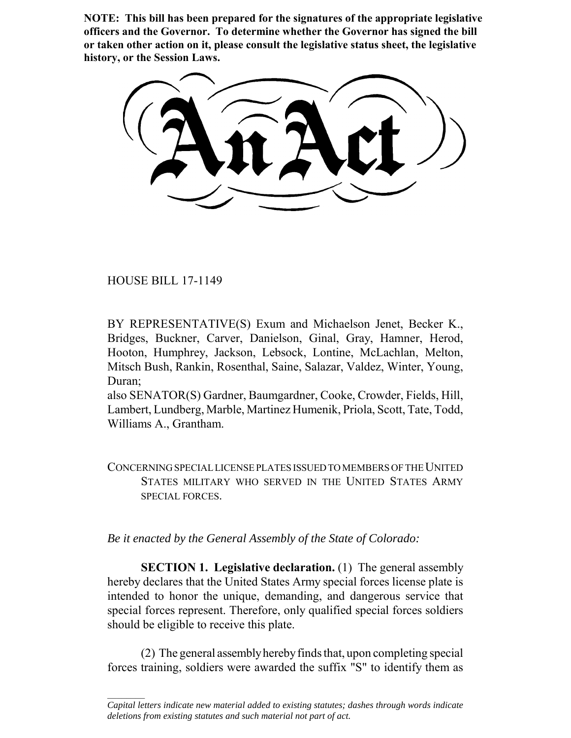**NOTE: This bill has been prepared for the signatures of the appropriate legislative officers and the Governor. To determine whether the Governor has signed the bill or taken other action on it, please consult the legislative status sheet, the legislative history, or the Session Laws.**

HOUSE BILL 17-1149

 $\frac{1}{2}$ 

BY REPRESENTATIVE(S) Exum and Michaelson Jenet, Becker K., Bridges, Buckner, Carver, Danielson, Ginal, Gray, Hamner, Herod, Hooton, Humphrey, Jackson, Lebsock, Lontine, McLachlan, Melton, Mitsch Bush, Rankin, Rosenthal, Saine, Salazar, Valdez, Winter, Young, Duran;

also SENATOR(S) Gardner, Baumgardner, Cooke, Crowder, Fields, Hill, Lambert, Lundberg, Marble, Martinez Humenik, Priola, Scott, Tate, Todd, Williams A., Grantham.

CONCERNING SPECIAL LICENSE PLATES ISSUED TO MEMBERS OF THE UNITED STATES MILITARY WHO SERVED IN THE UNITED STATES ARMY SPECIAL FORCES.

*Be it enacted by the General Assembly of the State of Colorado:*

**SECTION 1. Legislative declaration.** (1) The general assembly hereby declares that the United States Army special forces license plate is intended to honor the unique, demanding, and dangerous service that special forces represent. Therefore, only qualified special forces soldiers should be eligible to receive this plate.

(2) The general assembly hereby finds that, upon completing special forces training, soldiers were awarded the suffix "S" to identify them as

*Capital letters indicate new material added to existing statutes; dashes through words indicate deletions from existing statutes and such material not part of act.*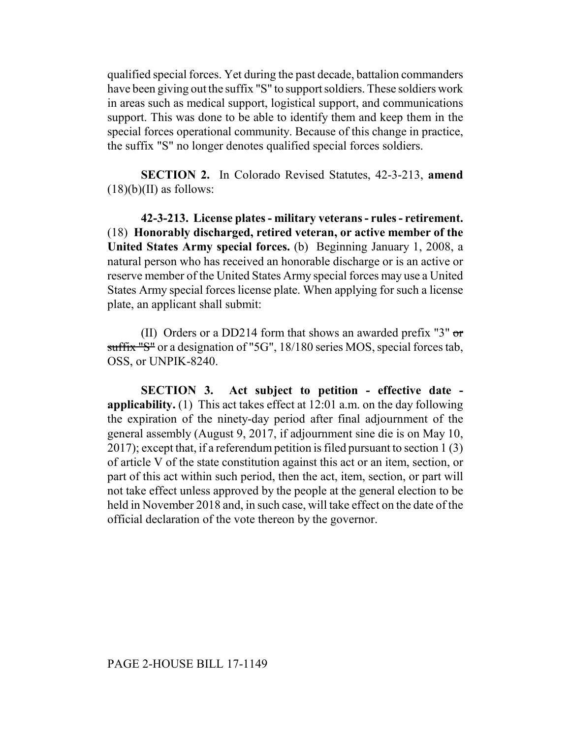qualified special forces. Yet during the past decade, battalion commanders have been giving out the suffix "S" to support soldiers. These soldiers work in areas such as medical support, logistical support, and communications support. This was done to be able to identify them and keep them in the special forces operational community. Because of this change in practice, the suffix "S" no longer denotes qualified special forces soldiers.

**SECTION 2.** In Colorado Revised Statutes, 42-3-213, **amend**  $(18)(b)(II)$  as follows:

**42-3-213. License plates - military veterans - rules - retirement.** (18) **Honorably discharged, retired veteran, or active member of the United States Army special forces.** (b) Beginning January 1, 2008, a natural person who has received an honorable discharge or is an active or reserve member of the United States Army special forces may use a United States Army special forces license plate. When applying for such a license plate, an applicant shall submit:

(II) Orders or a DD214 form that shows an awarded prefix "3"  $\sigma$ r suffix "S" or a designation of "5G", 18/180 series MOS, special forces tab, OSS, or UNPIK-8240.

**SECTION 3. Act subject to petition - effective date applicability.** (1) This act takes effect at 12:01 a.m. on the day following the expiration of the ninety-day period after final adjournment of the general assembly (August 9, 2017, if adjournment sine die is on May 10, 2017); except that, if a referendum petition is filed pursuant to section 1 (3) of article V of the state constitution against this act or an item, section, or part of this act within such period, then the act, item, section, or part will not take effect unless approved by the people at the general election to be held in November 2018 and, in such case, will take effect on the date of the official declaration of the vote thereon by the governor.